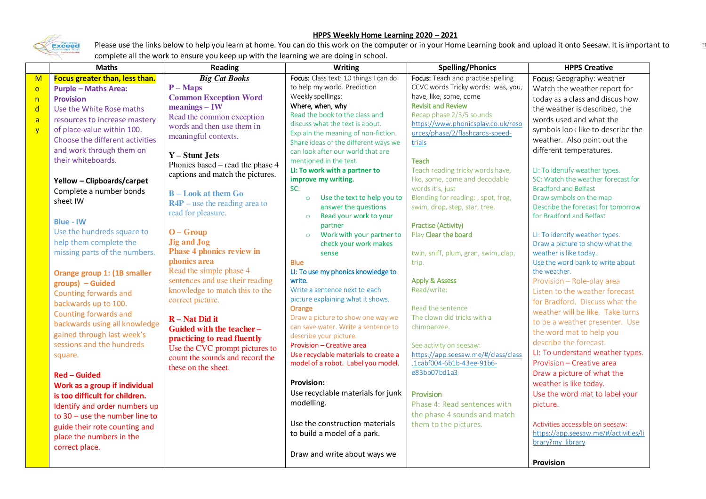## Exceed

## **HPPS Weekly Home Learning 2020 – 2021**

Please use the links below to help you learn at home. You can do this work on the computer or in your Home Learning book and upload it onto Seesaw. It is important to complete all the work to ensure you keep up with the learning we are doing in school.

|                | <b>Maths</b>                          | <b>Reading</b>                   | <b>Writing</b>                                                    | <b>Spelling/Phonics</b>                                          | <b>HPPS Creative</b>                                                      |
|----------------|---------------------------------------|----------------------------------|-------------------------------------------------------------------|------------------------------------------------------------------|---------------------------------------------------------------------------|
| $\mathsf{M}$   | <b>Focus greater than, less than.</b> | <b>Big Cat Books</b>             | Focus: Class text: 10 things I can do                             | Focus: Teach and practise spelling                               | Focus: Geography: weather                                                 |
| $\circ$        | <b>Purple - Maths Area:</b>           | $P-Maps$                         | to help my world. Prediction                                      | CCVC words Tricky words: was, you,                               | Watch the weather report for                                              |
| n              | <b>Provision</b>                      | <b>Common Exception Word</b>     | Weekly spellings:                                                 | have, like, some, come                                           | today as a class and discus how                                           |
| $\mathsf{d}$   | Use the White Rose maths              | $meanings - IW$                  | Where, when, why                                                  | <b>Revisit and Review</b>                                        | the weather is described, the                                             |
| $\overline{a}$ | resources to increase mastery         | Read the common exception        | Read the book to the class and<br>discuss what the text is about. | Recap phase 2/3/5 sounds.<br>https://www.phonicsplay.co.uk/reso  | words used and what the                                                   |
| $\overline{y}$ | of place-value within 100.            | words and then use them in       | Explain the meaning of non-fiction.                               | urces/phase/2/flashcards-speed-                                  | symbols look like to describe the                                         |
|                | Choose the different activities       | meaningful contexts.             | Share ideas of the different ways we                              | trials                                                           | weather. Also point out the                                               |
|                | and work through them on              |                                  | can look after our world that are                                 |                                                                  | different temperatures.                                                   |
|                | their whiteboards.                    | $Y -$ Stunt Jets                 | mentioned in the text.                                            | <b>Teach</b>                                                     |                                                                           |
|                |                                       | Phonics based - read the phase 4 | LI: To work with a partner to                                     | Teach reading tricky words have,                                 | LI: To identify weather types.                                            |
|                | Yellow - Clipboards/carpet            | captions and match the pictures. | improve my writing.                                               | like, some, come and decodable                                   | SC: Watch the weather forecast for                                        |
|                | Complete a number bonds               | <b>B</b> – Look at them Go       | SC:                                                               | words it's, just                                                 | <b>Bradford and Belfast</b>                                               |
|                | sheet IW                              | $R4P$ – use the reading area to  | Use the text to help you to<br>$\circ$                            | Blending for reading: , spot, frog,                              | Draw symbols on the map                                                   |
|                |                                       | read for pleasure.               | answer the questions                                              | swim, drop, step, star, tree.                                    | Describe the forecast for tomorrow                                        |
|                | <b>Blue - IW</b>                      |                                  | Read your work to your<br>$\circ$                                 |                                                                  | for Bradford and Belfast                                                  |
|                | Use the hundreds square to            | $O - G$ roup                     | partner                                                           | <b>Practise (Activity)</b>                                       |                                                                           |
|                | help them complete the                | <b>Jig and Jog</b>               | Work with your partner to<br>$\circ$                              | Play Clear the board                                             | LI: To identify weather types.                                            |
|                | missing parts of the numbers.         | <b>Phase 4 phonics review in</b> | check your work makes                                             |                                                                  | Draw a picture to show what the<br>weather is like today.                 |
|                |                                       | phonics area                     | sense<br><b>Blue</b>                                              | twin, sniff, plum, gran, swim, clap,<br>trip.                    | Use the word bank to write about                                          |
|                |                                       | Read the simple phase 4          | LI: To use my phonics knowledge to                                |                                                                  | the weather.                                                              |
|                | Orange group 1: (1B smaller           | sentences and use their reading  | write.                                                            | <b>Apply &amp; Assess</b>                                        | Provision - Role-play area                                                |
|                | groups) - Guided                      | knowledge to match this to the   | Write a sentence next to each                                     | Read/write:                                                      | Listen to the weather forecast                                            |
|                | Counting forwards and                 | correct picture.                 | picture explaining what it shows.                                 |                                                                  | for Bradford. Discuss what the                                            |
|                | backwards up to 100.                  |                                  | Orange                                                            | Read the sentence                                                | weather will be like. Take turns                                          |
|                | Counting forwards and                 | $R - Nat Did it$                 | Draw a picture to show one way we                                 | The clown did tricks with a                                      | to be a weather presenter. Use                                            |
|                | backwards using all knowledge         | Guided with the teacher-         | can save water. Write a sentence to                               | chimpanzee.                                                      | the word mat to help you                                                  |
|                | gained through last week's            | practicing to read fluently      | describe your picture.                                            |                                                                  | describe the forecast.                                                    |
|                | sessions and the hundreds             | Use the CVC prompt pictures to   | Provision - Creative area                                         | See activity on seesaw:                                          | LI: To understand weather types.                                          |
|                | square.                               | count the sounds and record the  | Use recyclable materials to create a                              | https://app.seesaw.me/#/class/class<br>.1cabf004-6b1b-43ee-91b6- | Provision - Creative area                                                 |
|                |                                       | these on the sheet.              | model of a robot. Label you model.                                | e83bb07bd1a3                                                     | Draw a picture of what the                                                |
|                | <b>Red - Guided</b>                   |                                  | <b>Provision:</b>                                                 |                                                                  |                                                                           |
|                | Work as a group if individual         |                                  | Use recyclable materials for junk                                 |                                                                  | weather is like today.                                                    |
|                | is too difficult for children.        |                                  |                                                                   | <b>Provision</b>                                                 | Use the word mat to label your                                            |
|                | Identify and order numbers up         |                                  | modelling.                                                        | Phase 4: Read sentences with                                     | picture.                                                                  |
|                | to $30 -$ use the number line to      |                                  | Use the construction materials                                    | the phase 4 sounds and match                                     |                                                                           |
|                | guide their rote counting and         |                                  |                                                                   | them to the pictures.                                            | Activities accessible on seesaw:<br>https://app.seesaw.me/#/activities/li |
|                | place the numbers in the              |                                  | to build a model of a park.                                       |                                                                  | brary?my library                                                          |
|                | correct place.                        |                                  |                                                                   |                                                                  |                                                                           |
|                |                                       |                                  | Draw and write about ways we                                      |                                                                  |                                                                           |
|                |                                       |                                  |                                                                   |                                                                  | <b>Provision</b>                                                          |

 $\mathbf{F}$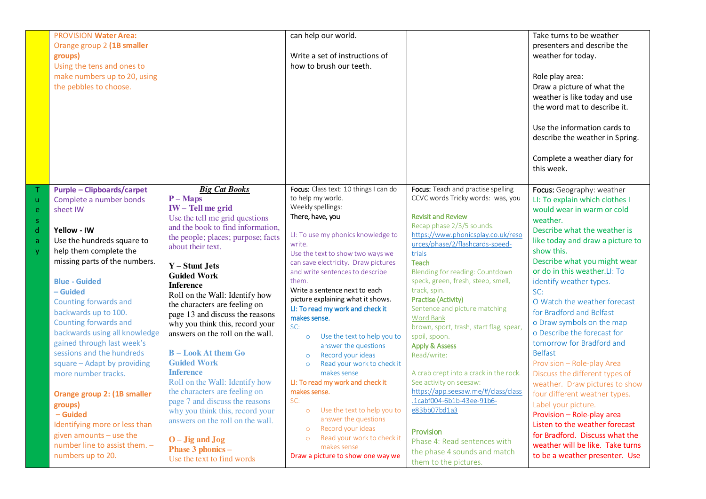|              | <b>PROVISION Water Area:</b><br>Orange group 2 (1B smaller<br>groups)<br>Using the tens and ones to<br>make numbers up to 20, using<br>the pebbles to choose. |                                                                     | can help our world.<br>Write a set of instructions of<br>how to brush our teeth. |                                                                 | Take turns to be weather<br>presenters and describe the<br>weather for today.<br>Role play area:<br>Draw a picture of what the<br>weather is like today and use<br>the word mat to describe it.<br>Use the information cards to<br>describe the weather in Spring.<br>Complete a weather diary for<br>this week. |
|--------------|---------------------------------------------------------------------------------------------------------------------------------------------------------------|---------------------------------------------------------------------|----------------------------------------------------------------------------------|-----------------------------------------------------------------|------------------------------------------------------------------------------------------------------------------------------------------------------------------------------------------------------------------------------------------------------------------------------------------------------------------|
|              | <b>Purple - Clipboards/carpet</b>                                                                                                                             | <b>Big Cat Books</b>                                                | Focus: Class text: 10 things I can do                                            | Focus: Teach and practise spelling                              | Focus: Geography: weather                                                                                                                                                                                                                                                                                        |
| $\mathsf{u}$ | Complete a number bonds                                                                                                                                       | $P-Maps$                                                            | to help my world.                                                                | CCVC words Tricky words: was, you                               | LI: To explain which clothes I                                                                                                                                                                                                                                                                                   |
| e            | sheet IW                                                                                                                                                      | <b>IW-Tell me grid</b>                                              | Weekly spellings:                                                                |                                                                 | would wear in warm or cold                                                                                                                                                                                                                                                                                       |
| -S           |                                                                                                                                                               | Use the tell me grid questions                                      | There, have, you                                                                 | <b>Revisit and Review</b>                                       | weather.                                                                                                                                                                                                                                                                                                         |
| d            | Yellow - IW                                                                                                                                                   | and the book to find information,                                   | LI: To use my phonics knowledge to                                               | Recap phase 2/3/5 sounds.<br>https://www.phonicsplay.co.uk/reso | Describe what the weather is                                                                                                                                                                                                                                                                                     |
| a            | Use the hundreds square to                                                                                                                                    | the people; places; purpose; facts                                  | write.                                                                           | urces/phase/2/flashcards-speed-                                 | like today and draw a picture to                                                                                                                                                                                                                                                                                 |
| V            | help them complete the                                                                                                                                        | about their text.                                                   | Use the text to show two ways we                                                 | trials                                                          | show this.                                                                                                                                                                                                                                                                                                       |
|              | missing parts of the numbers.                                                                                                                                 |                                                                     | can save electricity. Draw pictures                                              | <b>Teach</b>                                                    | Describe what you might wear                                                                                                                                                                                                                                                                                     |
|              |                                                                                                                                                               | Y – Stunt Jets                                                      | and write sentences to describe                                                  | Blending for reading: Countdown                                 | or do in this weather.LI: To                                                                                                                                                                                                                                                                                     |
|              | <b>Blue - Guided</b>                                                                                                                                          | <b>Guided Work</b>                                                  | them.                                                                            | speck, green, fresh, steep, smell,                              | identify weather types.                                                                                                                                                                                                                                                                                          |
|              | - Guided                                                                                                                                                      | <b>Inference</b>                                                    | Write a sentence next to each                                                    | track, spin.                                                    | SC:                                                                                                                                                                                                                                                                                                              |
|              | Counting forwards and                                                                                                                                         | Roll on the Wall: Identify how                                      | picture explaining what it shows.                                                | <b>Practise (Activity)</b>                                      | O Watch the weather forecast                                                                                                                                                                                                                                                                                     |
|              | backwards up to 100.                                                                                                                                          | the characters are feeling on<br>page 13 and discuss the reasons    | LI: To read my work and check it                                                 | Sentence and picture matching                                   | for Bradford and Belfast                                                                                                                                                                                                                                                                                         |
|              | Counting forwards and                                                                                                                                         |                                                                     | makes sense.                                                                     | <b>Word Bank</b>                                                | o Draw symbols on the map                                                                                                                                                                                                                                                                                        |
|              | backwards using all knowledge                                                                                                                                 | why you think this, record your<br>answers on the roll on the wall. | SC:                                                                              | brown, sport, trash, start flag, spear,                         | o Describe the forecast for                                                                                                                                                                                                                                                                                      |
|              | gained through last week's                                                                                                                                    |                                                                     | Use the text to help you to<br>$\circ$                                           | spoil, spoon.                                                   | tomorrow for Bradford and                                                                                                                                                                                                                                                                                        |
|              | sessions and the hundreds                                                                                                                                     | <b>B</b> – Look At them Go                                          | answer the questions<br>Record your ideas                                        | <b>Apply &amp; Assess</b>                                       | <b>Belfast</b>                                                                                                                                                                                                                                                                                                   |
|              | square - Adapt by providing                                                                                                                                   | <b>Guided Work</b>                                                  | $\circ$<br>Read your work to check it<br>$\circ$                                 | Read/write:                                                     | Provision - Role-play Area                                                                                                                                                                                                                                                                                       |
|              | more number tracks.                                                                                                                                           | <b>Inference</b>                                                    | makes sense                                                                      | A crab crept into a crack in the rock.                          | Discuss the different types of                                                                                                                                                                                                                                                                                   |
|              |                                                                                                                                                               | Roll on the Wall: Identify how                                      | LI: To read my work and check it                                                 | See activity on seesaw:                                         | weather. Draw pictures to show                                                                                                                                                                                                                                                                                   |
|              | Orange group 2: (1B smaller                                                                                                                                   | the characters are feeling on                                       | makes sense.                                                                     | https://app.seesaw.me/#/class/class                             | four different weather types.                                                                                                                                                                                                                                                                                    |
|              |                                                                                                                                                               | page 7 and discuss the reasons                                      | SC:                                                                              | .1cabf004-6b1b-43ee-91b6-                                       | Label your picture.                                                                                                                                                                                                                                                                                              |
|              | groups)<br>- Guided                                                                                                                                           | why you think this, record your                                     | Use the text to help you to<br>$\circ$                                           | e83bb07bd1a3                                                    | Provision - Role-play area                                                                                                                                                                                                                                                                                       |
|              | Identifying more or less than                                                                                                                                 | answers on the roll on the wall.                                    | answer the questions                                                             |                                                                 | Listen to the weather forecast                                                                                                                                                                                                                                                                                   |
|              | given amounts - use the                                                                                                                                       |                                                                     | Record your ideas<br>$\circ$                                                     | Provision                                                       | for Bradford. Discuss what the                                                                                                                                                                                                                                                                                   |
|              | number line to assist them. -                                                                                                                                 | $O - J$ ig and $J$ og                                               | Read your work to check it<br>$\circ$                                            | Phase 4: Read sentences with                                    | weather will be like. Take turns                                                                                                                                                                                                                                                                                 |
|              |                                                                                                                                                               | Phase 3 phonics -                                                   | makes sense                                                                      | the phase 4 sounds and match                                    |                                                                                                                                                                                                                                                                                                                  |
|              | numbers up to 20.                                                                                                                                             | Use the text to find words                                          | Draw a picture to show one way we                                                | them to the pictures.                                           | to be a weather presenter. Use                                                                                                                                                                                                                                                                                   |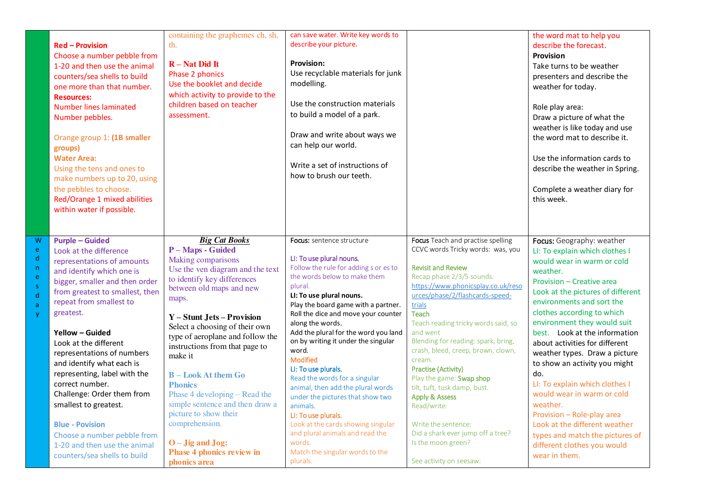|                                                                                               | <b>Red - Provision</b><br>Choose a number pebble from<br>1-20 and then use the animal<br>counters/sea shells to build<br>one more than that number.<br><b>Resources:</b><br><b>Number lines laminated</b><br>Number pebbles.<br>Orange group 1: (1B smaller<br>groups)<br><b>Water Area:</b><br>Using the tens and ones to<br>make numbers up to 20, using<br>the pebbles to choose.<br>Red/Orange 1 mixed abilities<br>within water if possible.                                                                                                                  | containing the graphemes ch, sh,<br>th.<br>$R$ – Nat Did It<br>Phase 2 phonics<br>Use the booklet and decide<br>which activity to provide to the<br>children based on teacher<br>assessment.                                                                                                                                                                                                                                                                                                                                                                          | can save water. Write key words to<br>describe your picture.<br><b>Provision:</b><br>Use recyclable materials for junk<br>modelling.<br>Use the construction materials<br>to build a model of a park.<br>Draw and write about ways we<br>can help our world.<br>Write a set of instructions of<br>how to brush our teeth.                                                                                                                                                                                                                                                                                                                                                         |                                                                                                                                                                                                                                                                                                                                                                                                                                                                                                                                                                                                                           | the word mat to help you<br>describe the forecast.<br><b>Provision</b><br>Take turns to be weather<br>presenters and describe the<br>weather for today.<br>Role play area:<br>Draw a picture of what the<br>weather is like today and use<br>the word mat to describe it.<br>Use the information cards to<br>describe the weather in Spring.<br>Complete a weather diary for<br>this week.                                                                                                                                                                                                                                                  |
|-----------------------------------------------------------------------------------------------|--------------------------------------------------------------------------------------------------------------------------------------------------------------------------------------------------------------------------------------------------------------------------------------------------------------------------------------------------------------------------------------------------------------------------------------------------------------------------------------------------------------------------------------------------------------------|-----------------------------------------------------------------------------------------------------------------------------------------------------------------------------------------------------------------------------------------------------------------------------------------------------------------------------------------------------------------------------------------------------------------------------------------------------------------------------------------------------------------------------------------------------------------------|-----------------------------------------------------------------------------------------------------------------------------------------------------------------------------------------------------------------------------------------------------------------------------------------------------------------------------------------------------------------------------------------------------------------------------------------------------------------------------------------------------------------------------------------------------------------------------------------------------------------------------------------------------------------------------------|---------------------------------------------------------------------------------------------------------------------------------------------------------------------------------------------------------------------------------------------------------------------------------------------------------------------------------------------------------------------------------------------------------------------------------------------------------------------------------------------------------------------------------------------------------------------------------------------------------------------------|---------------------------------------------------------------------------------------------------------------------------------------------------------------------------------------------------------------------------------------------------------------------------------------------------------------------------------------------------------------------------------------------------------------------------------------------------------------------------------------------------------------------------------------------------------------------------------------------------------------------------------------------|
| W<br>e<br>$\mathsf{d}$<br>n<br>ė<br>$\bar{\mathbf{S}}$<br>$\mathsf{d}$<br>$\overline{a}$<br>y | <b>Purple - Guided</b><br>Look at the difference<br>representations of amounts<br>and identify which one is<br>bigger, smaller and then order<br>from greatest to smallest, then<br>repeat from smallest to<br>greatest.<br>Yellow - Guided<br>Look at the different<br>representations of numbers<br>and identify what each is<br>representing, label with the<br>correct number.<br>Challenge: Order them from<br>smallest to greatest.<br><b>Blue - Povision</b><br>Choose a number pebble from<br>1-20 and then use the animal<br>counters/sea shells to build | <b>Big Cat Books</b><br>P - Maps - Guided<br>Making comparisons<br>Use the ven diagram and the text<br>to identify key differences<br>between old maps and new<br>maps.<br><b>Y</b> – Stunt Jets – Provision<br>Select a choosing of their own<br>type of aeroplane and follow the<br>instructions from that page to<br>make it<br><b>B</b> – Look At them Go<br><b>Phonics</b><br>Phase 4 developing – Read the<br>simple sentence and then draw a<br>picture to show their<br>comprehension.<br>$O - J$ ig and $J$ og:<br>Phase 4 phonics review in<br>phonics area | Focus: sentence structure<br>LI: To use plural nouns.<br>Follow the rule for adding s or es to<br>the words below to make them<br>plural.<br>LI: To use plural nouns.<br>Play the board game with a partner.<br>Roll the dice and move your counter<br>along the words.<br>Add the plural for the word you land<br>on by writing it under the singular<br>word.<br>Modified<br>LI: To use plurals.<br>Read the words for a singular<br>animal, then add the plural words<br>under the pictures that show two<br>animals.<br>LI: To use plurals.<br>Look at the cards showing singular<br>and plural animals and read the<br>words.<br>Match the singular words to the<br>plurals. | Focus Teach and practise spelling<br>CCVC words Tricky words: was, you<br><b>Revisit and Review</b><br>Recap phase 2/3/5 sounds.<br>https://www.phonicsplay.co.uk/reso<br>urces/phase/2/flashcards-speed-<br>trials<br><b>Teach</b><br>Teach reading tricky words said, so<br>and went<br>Blending for reading: spark, bring,<br>crash, bleed, creep, brown, clown,<br>cream.<br>Practise (Activity)<br>Play the game: Swap shop<br>tilt, tuft, tusk damp, bust.<br><b>Apply &amp; Assess</b><br>Read/write:<br>Write the sentence:<br>Did a shark ever jump off a tree?<br>Is the moon green?<br>See activity on seesaw: | Focus: Geography: weather<br>LI: To explain which clothes I<br>would wear in warm or cold<br>weather.<br>Provision - Creative area<br>Look at the pictures of different<br>environments and sort the<br>clothes according to which<br>environment they would suit<br>best. Look at the information<br>about activities for different<br>weather types. Draw a picture<br>to show an activity you might<br>do.<br>LI: To explain which clothes I<br>would wear in warm or cold<br>weather.<br>Provision - Role-play area<br>Look at the different weather<br>types and match the pictures of<br>different clothes you would<br>wear in them. |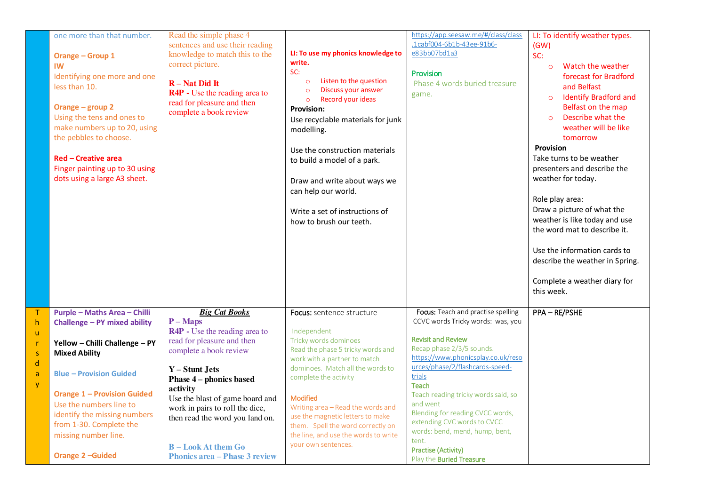|                                                        | one more than that number.<br><b>Orange - Group 1</b><br>IW<br>Identifying one more and one<br>less than 10.<br>Orange - group 2<br>Using the tens and ones to<br>make numbers up to 20, using<br>the pebbles to choose.<br><b>Red - Creative area</b><br>Finger painting up to 30 using<br>dots using a large A3 sheet. | Read the simple phase 4<br>sentences and use their reading<br>knowledge to match this to the<br>correct picture.<br>$R - Nat Did It$<br><b>R4P</b> - Use the reading area to<br>read for pleasure and then<br>complete a book review   | LI: To use my phonics knowledge to<br>write.<br>SC:<br>Listen to the question<br>$\circ$<br>Discuss your answer<br>$\circ$<br>Record your ideas<br>$\circ$<br><b>Provision:</b><br>Use recyclable materials for junk<br>modelling.<br>Use the construction materials<br>to build a model of a park.<br>Draw and write about ways we<br>can help our world.<br>Write a set of instructions of<br>how to brush our teeth. | https://app.seesaw.me/#/class/class<br>.1cabf004-6b1b-43ee-91b6-<br>e83bb07bd1a3<br>Provision<br>Phase 4 words buried treasure<br>game.                                                                                                                                              | LI: To identify weather types.<br>(GW)<br>SC:<br>Watch the weather<br>$\circ$<br>forecast for Bradford<br>and Belfast<br><b>Identify Bradford and</b><br>$\circ$<br>Belfast on the map<br>Describe what the<br>$\circ$<br>weather will be like<br>tomorrow<br><b>Provision</b><br>Take turns to be weather<br>presenters and describe the<br>weather for today.<br>Role play area:<br>Draw a picture of what the<br>weather is like today and use<br>the word mat to describe it.<br>Use the information cards to<br>describe the weather in Spring.<br>Complete a weather diary for<br>this week. |
|--------------------------------------------------------|--------------------------------------------------------------------------------------------------------------------------------------------------------------------------------------------------------------------------------------------------------------------------------------------------------------------------|----------------------------------------------------------------------------------------------------------------------------------------------------------------------------------------------------------------------------------------|-------------------------------------------------------------------------------------------------------------------------------------------------------------------------------------------------------------------------------------------------------------------------------------------------------------------------------------------------------------------------------------------------------------------------|--------------------------------------------------------------------------------------------------------------------------------------------------------------------------------------------------------------------------------------------------------------------------------------|----------------------------------------------------------------------------------------------------------------------------------------------------------------------------------------------------------------------------------------------------------------------------------------------------------------------------------------------------------------------------------------------------------------------------------------------------------------------------------------------------------------------------------------------------------------------------------------------------|
| $\top$<br>$\mathsf{h}$<br>ū<br>$\mathbf{r}$<br>$\sf S$ | <b>Purple - Maths Area - Chilli</b><br>Challenge - PY mixed ability<br>Yellow - Chilli Challenge - PY<br><b>Mixed Ability</b>                                                                                                                                                                                            | <b>Big Cat Books</b><br>$P-Maps$<br><b>R4P</b> - Use the reading area to<br>read for pleasure and then<br>complete a book review                                                                                                       | <b>Focus:</b> sentence structure<br>Independent<br>Tricky words dominoes<br>Read the phase 5 tricky words and<br>work with a partner to match                                                                                                                                                                                                                                                                           | Focus: Teach and practise spelling<br>CCVC words Tricky words: was, you<br><b>Revisit and Review</b><br>Recap phase 2/3/5 sounds.<br>https://www.phonicsplay.co.uk/reso                                                                                                              | PPA-RE/PSHE                                                                                                                                                                                                                                                                                                                                                                                                                                                                                                                                                                                        |
| d<br>a<br><b>y</b>                                     | <b>Blue - Provision Guided</b><br><b>Orange 1 - Provision Guided</b><br>Use the numbers line to<br>identify the missing numbers<br>from 1-30. Complete the<br>missing number line.<br>Orange 2-Guided                                                                                                                    | $Y -$ Stunt Jets<br>Phase 4 – phonics based<br>activity<br>Use the blast of game board and<br>work in pairs to roll the dice,<br>then read the word you land on.<br><b>B</b> – Look At them Go<br><b>Phonics area – Phase 3 review</b> | dominoes. Match all the words to<br>complete the activity<br><b>Modified</b><br>Writing area - Read the words and<br>use the magnetic letters to make<br>them. Spell the word correctly on<br>the line, and use the words to write<br>your own sentences.                                                                                                                                                               | urces/phase/2/flashcards-speed-<br>trials<br><b>Teach</b><br>Teach reading tricky words said, so<br>and went<br>Blending for reading CVCC words,<br>extending CVC words to CVCC<br>words: bend, mend, hump, bent,<br>tent.<br>Practise (Activity)<br>Play the <b>Buried Treasure</b> |                                                                                                                                                                                                                                                                                                                                                                                                                                                                                                                                                                                                    |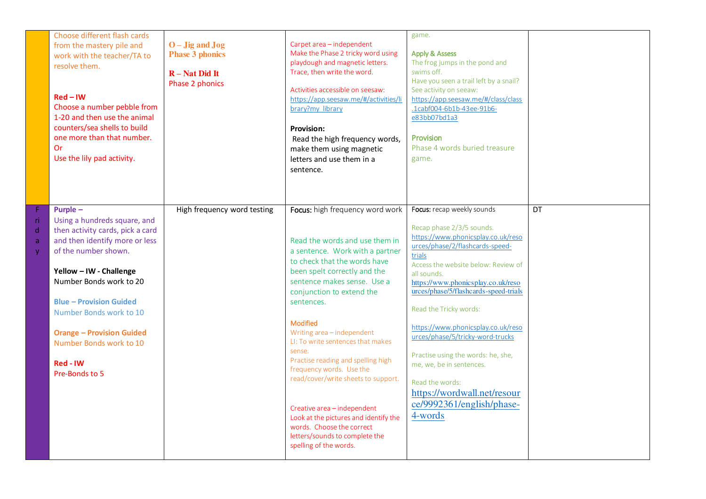|                                         | Choose different flash cards<br>from the mastery pile and<br>work with the teacher/TA to<br>resolve them.<br>$Red - IN$<br>Choose a number pebble from<br>1-20 and then use the animal<br>counters/sea shells to build<br>one more than that number.<br><b>Or</b><br>Use the lily pad activity.                                                        | $O-Jig$ and $Jog$<br><b>Phase 3 phonics</b><br>$R - Nat Did It$<br>Phase 2 phonics | Carpet area - independent<br>Make the Phase 2 tricky word using<br>playdough and magnetic letters.<br>Trace, then write the word.<br>Activities accessible on seesaw:<br>https://app.seesaw.me/#/activities/li<br>brary?my library<br><b>Provision:</b><br>Read the high frequency words,<br>make them using magnetic<br>letters and use them in a<br>sentence.                                                                                                                                                                                                                                                          | game.<br><b>Apply &amp; Assess</b><br>The frog jumps in the pond and<br>swims off.<br>Have you seen a trail left by a snail?<br>See activity on seeaw:<br>https://app.seesaw.me/#/class/class<br>.1cabf004-6b1b-43ee-91b6-<br>e83bb07bd1a3<br>Provision<br>Phase 4 words buried treasure<br>game.                                                                                                                                                                                                                                               |           |
|-----------------------------------------|--------------------------------------------------------------------------------------------------------------------------------------------------------------------------------------------------------------------------------------------------------------------------------------------------------------------------------------------------------|------------------------------------------------------------------------------------|--------------------------------------------------------------------------------------------------------------------------------------------------------------------------------------------------------------------------------------------------------------------------------------------------------------------------------------------------------------------------------------------------------------------------------------------------------------------------------------------------------------------------------------------------------------------------------------------------------------------------|-------------------------------------------------------------------------------------------------------------------------------------------------------------------------------------------------------------------------------------------------------------------------------------------------------------------------------------------------------------------------------------------------------------------------------------------------------------------------------------------------------------------------------------------------|-----------|
| ri<br>$\mathsf{d}$<br>$\mathsf{a}$<br>y | Purple -<br>Using a hundreds square, and<br>then activity cards, pick a card<br>and then identify more or less<br>of the number shown.<br>Yellow - IW - Challenge<br>Number Bonds work to 20<br><b>Blue - Provision Guided</b><br>Number Bonds work to 10<br><b>Orange - Provision Guided</b><br>Number Bonds work to 10<br>Red - IW<br>Pre-Bonds to 5 | High frequency word testing                                                        | Focus: high frequency word work<br>Read the words and use them in<br>a sentence. Work with a partner<br>to check that the words have<br>been spelt correctly and the<br>sentence makes sense. Use a<br>conjunction to extend the<br>sentences.<br><b>Modified</b><br>Writing area - independent<br>LI: To write sentences that makes<br>sense.<br>Practise reading and spelling high<br>frequency words. Use the<br>read/cover/write sheets to support.<br>Creative area - independent<br>Look at the pictures and identify the<br>words. Choose the correct<br>letters/sounds to complete the<br>spelling of the words. | Focus: recap weekly sounds<br>Recap phase 2/3/5 sounds.<br>https://www.phonicsplay.co.uk/reso<br>urces/phase/2/flashcards-speed-<br>trials<br>Access the website below: Review of<br>all sounds.<br>https://www.phonicsplay.co.uk/reso<br>urces/phase/5/flashcards-speed-trials<br>Read the Tricky words:<br>https://www.phonicsplay.co.uk/reso<br>urces/phase/5/tricky-word-trucks<br>Practise using the words: he, she,<br>me, we, be in sentences.<br>Read the words:<br>https://wordwall.net/resour<br>ce/9992361/english/phase-<br>4-words | <b>DT</b> |